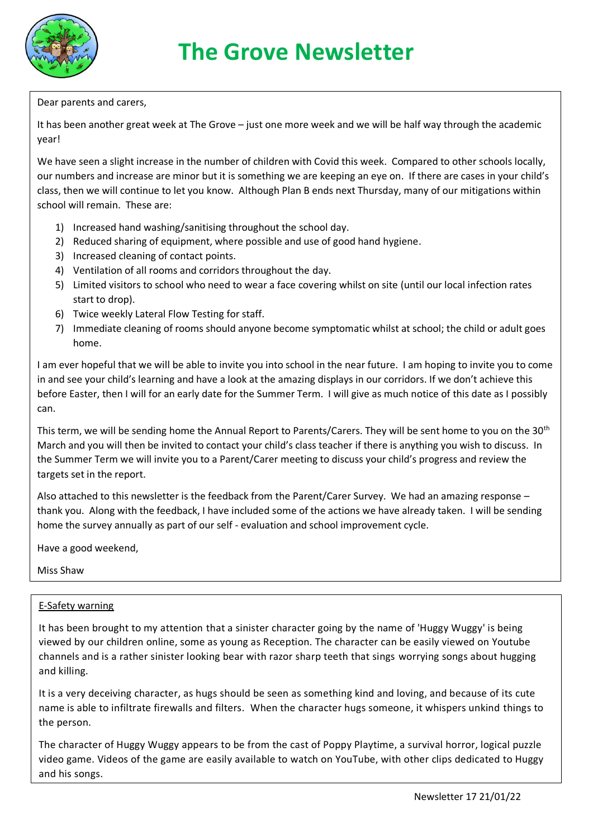

Dear parents and carers,

It has been another great week at The Grove – just one more week and we will be half way through the academic year!

We have seen a slight increase in the number of children with Covid this week. Compared to other schools locally, our numbers and increase are minor but it is something we are keeping an eye on. If there are cases in your child's class, then we will continue to let you know. Although Plan B ends next Thursday, many of our mitigations within school will remain. These are:

- 1) Increased hand washing/sanitising throughout the school day.
- 2) Reduced sharing of equipment, where possible and use of good hand hygiene.
- 3) Increased cleaning of contact points.
- 4) Ventilation of all rooms and corridors throughout the day.
- 5) Limited visitors to school who need to wear a face covering whilst on site (until our local infection rates start to drop).
- 6) Twice weekly Lateral Flow Testing for staff.
- 7) Immediate cleaning of rooms should anyone become symptomatic whilst at school; the child or adult goes home.

I am ever hopeful that we will be able to invite you into school in the near future. I am hoping to invite you to come in and see your child's learning and have a look at the amazing displays in our corridors. If we don't achieve this before Easter, then I will for an early date for the Summer Term. I will give as much notice of this date as I possibly can.

This term, we will be sending home the Annual Report to Parents/Carers. They will be sent home to you on the 30<sup>th</sup> March and you will then be invited to contact your child's class teacher if there is anything you wish to discuss. In the Summer Term we will invite you to a Parent/Carer meeting to discuss your child's progress and review the targets set in the report.

Also attached to this newsletter is the feedback from the Parent/Carer Survey. We had an amazing response – thank you. Along with the feedback, I have included some of the actions we have already taken. I will be sending home the survey annually as part of our self - evaluation and school improvement cycle.

Have a good weekend,

Miss Shaw

## E-Safety warning

It has been brought to my attention that a sinister character going by the name of 'Huggy Wuggy' is being viewed by our children online, some as young as Reception. The character can be easily viewed on Youtube channels and is a rather sinister looking bear with razor sharp teeth that sings worrying songs about hugging and killing.

It is a very deceiving character, as hugs should be seen as something kind and loving, and because of its cute name is able to infiltrate firewalls and filters. When the character hugs someone, it whispers unkind things to the person.

The character of Huggy Wuggy appears to be from the cast of Poppy Playtime, a survival horror, logical puzzle video game. Videos of the game are easily available to watch on YouTube, with other clips dedicated to Huggy and his songs.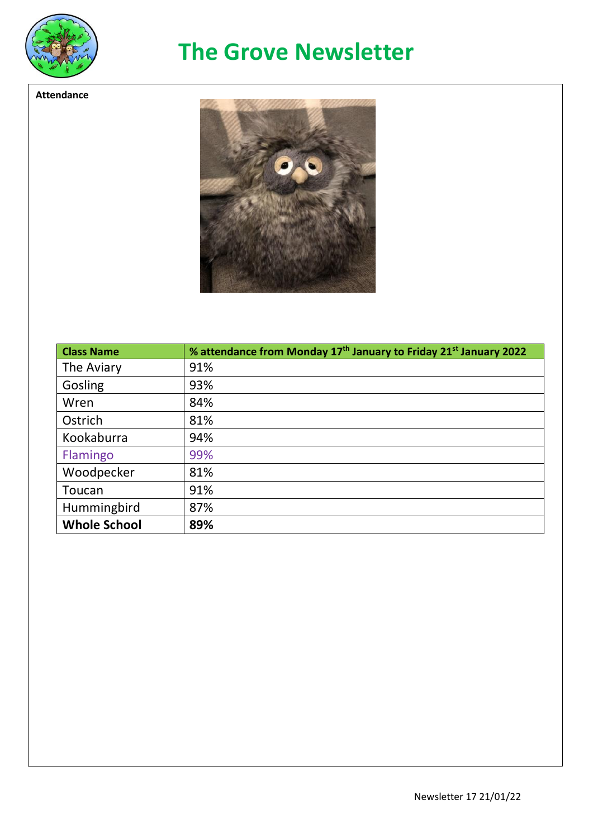

**Attendance**

## **The Grove Newsletter**



| <b>Class Name</b>   | % attendance from Monday 17 <sup>th</sup> January to Friday 21 <sup>st</sup> January 2022 |
|---------------------|-------------------------------------------------------------------------------------------|
| The Aviary          | 91%                                                                                       |
| Gosling             | 93%                                                                                       |
| Wren                | 84%                                                                                       |
| Ostrich             | 81%                                                                                       |
| Kookaburra          | 94%                                                                                       |
| Flamingo            | 99%                                                                                       |
| Woodpecker          | 81%                                                                                       |
| Toucan              | 91%                                                                                       |
| Hummingbird         | 87%                                                                                       |
| <b>Whole School</b> | 89%                                                                                       |